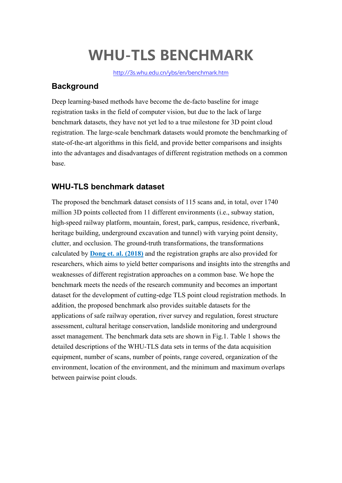## **WHU-TLS BENCHMARK**

<http://3s.whu.edu.cn/ybs/en/benchmark.htm>

## **Background**

Deep learning-based methods have become the de-facto baseline for image registration tasks in the field of computer vision, but due to the lack of large benchmark datasets, they have not yet led to a true milestone for 3D point cloud registration. The large-scale benchmark datasets would promote the benchmarking of state-of-the-art algorithms in this field, and provide better comparisons and insights into the advantages and disadvantages of different registration methods on a common base.

## **WHU-TLS benchmark dataset**

The proposed the benchmark dataset consists of 115 scans and, in total, over 1740 million 3D points collected from 11 different environments (i.e., subway station, high-speed railway platform, mountain, forest, park, campus, residence, riverbank, heritage building, underground excavation and tunnel) with varying point density, clutter, and occlusion. The ground-truth transformations, the transformations calculated by **Dong et. al. [\(2018\)](https://www.sciencedirect.com/science/article/abs/pii/S0924271618301813)** and the registration graphs are also provided for researchers, which aims to yield better comparisons and insights into the strengths and weaknesses of different registration approaches on a common base. We hope the benchmark meets the needs of the research community and becomes an important dataset for the development of cutting-edge TLS point cloud registration methods. In addition, the proposed benchmark also provides suitable datasets for the applications of safe railway operation, river survey and regulation, forest structure assessment, cultural heritage conservation, landslide monitoring and underground asset management. The benchmark data sets are shown in Fig.1. Table 1 shows the detailed descriptions of the WHU-TLS data sets in terms of the data acquisition equipment, number of scans, number of points, range covered, organization of the environment, location of the environment, and the minimum and maximum overlaps between pairwise point clouds.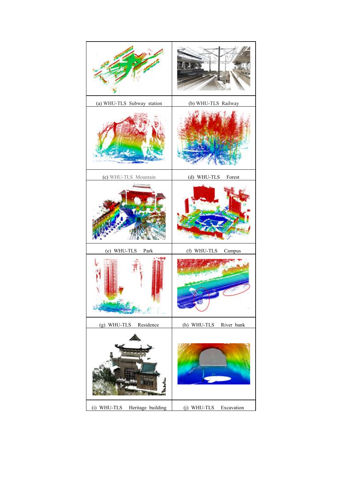